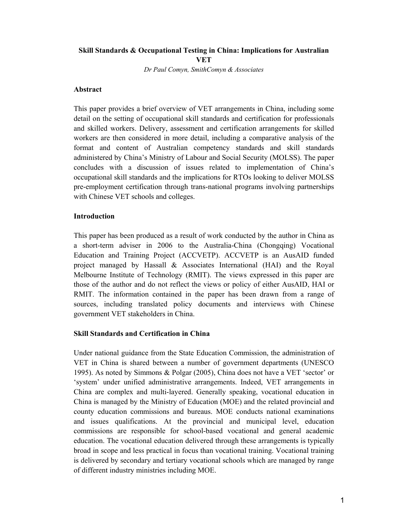# **Skill Standards & Occupational Testing in China: Implications for Australian VET**

*Dr Paul Comyn, SmithComyn & Associates* 

### **Abstract**

This paper provides a brief overview of VET arrangements in China, including some detail on the setting of occupational skill standards and certification for professionals and skilled workers. Delivery, assessment and certification arrangements for skilled workers are then considered in more detail, including a comparative analysis of the format and content of Australian competency standards and skill standards administered by China's Ministry of Labour and Social Security (MOLSS). The paper concludes with a discussion of issues related to implementation of China's occupational skill standards and the implications for RTOs looking to deliver MOLSS pre-employment certification through trans-national programs involving partnerships with Chinese VET schools and colleges.

### **Introduction**

This paper has been produced as a result of work conducted by the author in China as a short-term adviser in 2006 to the Australia-China (Chongqing) Vocational Education and Training Project (ACCVETP). ACCVETP is an AusAID funded project managed by Hassall & Associates International (HAI) and the Royal Melbourne Institute of Technology (RMIT). The views expressed in this paper are those of the author and do not reflect the views or policy of either AusAID, HAI or RMIT. The information contained in the paper has been drawn from a range of sources, including translated policy documents and interviews with Chinese government VET stakeholders in China.

### **Skill Standards and Certification in China**

Under national guidance from the State Education Commission, the administration of VET in China is shared between a number of government departments (UNESCO 1995). As noted by Simmons & Polgar (2005), China does not have a VET 'sector' or 'system' under unified administrative arrangements. Indeed, VET arrangements in China are complex and multi-layered. Generally speaking, vocational education in China is managed by the Ministry of Education (MOE) and the related provincial and county education commissions and bureaus. MOE conducts national examinations and issues qualifications. At the provincial and municipal level, education commissions are responsible for school-based vocational and general academic education. The vocational education delivered through these arrangements is typically broad in scope and less practical in focus than vocational training. Vocational training is delivered by secondary and tertiary vocational schools which are managed by range of different industry ministries including MOE.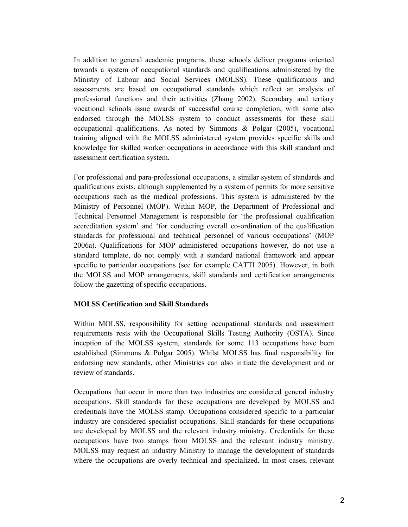In addition to general academic programs, these schools deliver programs oriented towards a system of occupational standards and qualifications administered by the Ministry of Labour and Social Services (MOLSS). These qualifications and assessments are based on occupational standards which reflect an analysis of professional functions and their activities (Zhang 2002). Secondary and tertiary vocational schools issue awards of successful course completion, with some also endorsed through the MOLSS system to conduct assessments for these skill occupational qualifications. As noted by Simmons & Polgar (2005), vocational training aligned with the MOLSS administered system provides specific skills and knowledge for skilled worker occupations in accordance with this skill standard and assessment certification system.

For professional and para-professional occupations, a similar system of standards and qualifications exists, although supplemented by a system of permits for more sensitive occupations such as the medical professions. This system is administered by the Ministry of Personnel (MOP). Within MOP, the Department of Professional and Technical Personnel Management is responsible for 'the professional qualification accreditation system' and 'for conducting overall co-ordination of the qualification standards for professional and technical personnel of various occupations' (MOP 2006a). Qualifications for MOP administered occupations however, do not use a standard template, do not comply with a standard national framework and appear specific to particular occupations (see for example CATTI 2005). However, in both the MOLSS and MOP arrangements, skill standards and certification arrangements follow the gazetting of specific occupations.

#### **MOLSS Certification and Skill Standards**

Within MOLSS, responsibility for setting occupational standards and assessment requirements rests with the Occupational Skills Testing Authority (OSTA). Since inception of the MOLSS system, standards for some 113 occupations have been established (Simmons & Polgar 2005). Whilst MOLSS has final responsibility for endorsing new standards, other Ministries can also initiate the development and or review of standards.

Occupations that occur in more than two industries are considered general industry occupations. Skill standards for these occupations are developed by MOLSS and credentials have the MOLSS stamp. Occupations considered specific to a particular industry are considered specialist occupations. Skill standards for these occupations are developed by MOLSS and the relevant industry ministry. Credentials for these occupations have two stamps from MOLSS and the relevant industry ministry. MOLSS may request an industry Ministry to manage the development of standards where the occupations are overly technical and specialized. In most cases, relevant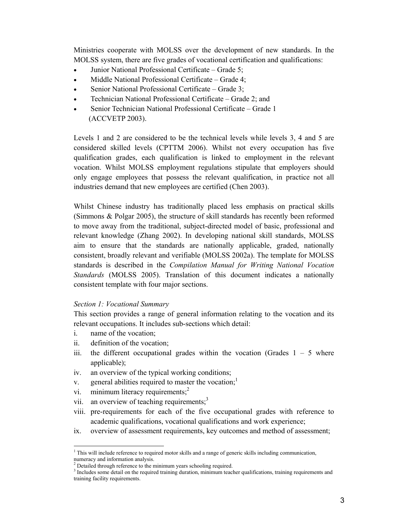Ministries cooperate with MOLSS over the development of new standards. In the MOLSS system, there are five grades of vocational certification and qualifications:

- Junior National Professional Certificate Grade 5;
- Middle National Professional Certificate Grade 4;
- Senior National Professional Certificate Grade 3;
- Technician National Professional Certificate Grade 2; and
- Senior Technician National Professional Certificate Grade 1 (ACCVETP 2003).

Levels 1 and 2 are considered to be the technical levels while levels 3, 4 and 5 are considered skilled levels (CPTTM 2006). Whilst not every occupation has five qualification grades, each qualification is linked to employment in the relevant vocation. Whilst MOLSS employment regulations stipulate that employers should only engage employees that possess the relevant qualification, in practice not all industries demand that new employees are certified (Chen 2003).

Whilst Chinese industry has traditionally placed less emphasis on practical skills (Simmons & Polgar 2005), the structure of skill standards has recently been reformed to move away from the traditional, subject-directed model of basic, professional and relevant knowledge (Zhang 2002). In developing national skill standards, MOLSS aim to ensure that the standards are nationally applicable, graded, nationally consistent, broadly relevant and verifiable (MOLSS 2002a). The template for MOLSS standards is described in the *Compilation Manual for Writing National Vocation Standards* (MOLSS 2005). Translation of this document indicates a nationally consistent template with four major sections.

#### *Section 1: Vocational Summary*

This section provides a range of general information relating to the vocation and its relevant occupations. It includes sub-sections which detail:

i. name of the vocation;

 $\overline{a}$ 

- ii. definition of the vocation;
- iii. the different occupational grades within the vocation (Grades  $1 5$  where applicable);
- iv. an overview of the typical working conditions;
- v. general abilities required to master the vocation; $<sup>1</sup>$ </sup>
- vi. minimum literacy requirements; $<sup>2</sup>$ </sup>
- vii. an overview of teaching requirements;<sup>3</sup>
- viii. pre-requirements for each of the five occupational grades with reference to academic qualifications, vocational qualifications and work experience;
- ix. overview of assessment requirements, key outcomes and method of assessment;

<sup>&</sup>lt;sup>1</sup> This will include reference to required motor skills and a range of generic skills including communication, numeracy and information analysis.

 $^{2}$  Detailed through reference to the minimum years schooling required.

<sup>&</sup>lt;sup>3</sup> Includes some detail on the required training duration, minimum teacher qualifications, training requirements and training facility requirements.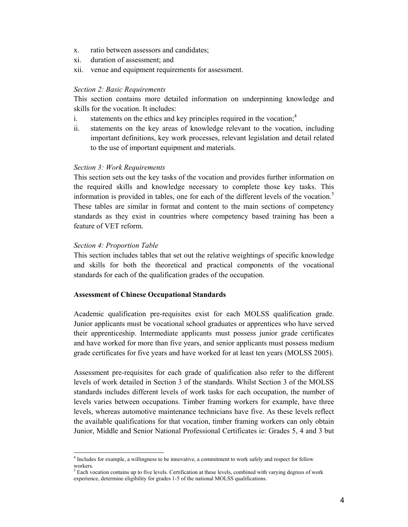- x. ratio between assessors and candidates;
- xi. duration of assessment; and
- xii. venue and equipment requirements for assessment.

#### *Section 2: Basic Requirements*

This section contains more detailed information on underpinning knowledge and skills for the vocation. It includes:

- i. statements on the ethics and key principles required in the vocation;  $4\overline{ }$
- ii. statements on the key areas of knowledge relevant to the vocation, including important definitions, key work processes, relevant legislation and detail related to the use of important equipment and materials.

#### *Section 3: Work Requirements*

This section sets out the key tasks of the vocation and provides further information on the required skills and knowledge necessary to complete those key tasks. This information is provided in tables, one for each of the different levels of the vocation.<sup>5</sup> These tables are similar in format and content to the main sections of competency standards as they exist in countries where competency based training has been a feature of VET reform.

#### *Section 4: Proportion Table*

 $\overline{a}$ 

This section includes tables that set out the relative weightings of specific knowledge and skills for both the theoretical and practical components of the vocational standards for each of the qualification grades of the occupation.

#### **Assessment of Chinese Occupational Standards**

Academic qualification pre-requisites exist for each MOLSS qualification grade. Junior applicants must be vocational school graduates or apprentices who have served their apprenticeship. Intermediate applicants must possess junior grade certificates and have worked for more than five years, and senior applicants must possess medium grade certificates for five years and have worked for at least ten years (MOLSS 2005).

Assessment pre-requisites for each grade of qualification also refer to the different levels of work detailed in Section 3 of the standards. Whilst Section 3 of the MOLSS standards includes different levels of work tasks for each occupation, the number of levels varies between occupations. Timber framing workers for example, have three levels, whereas automotive maintenance technicians have five. As these levels reflect the available qualifications for that vocation, timber framing workers can only obtain Junior, Middle and Senior National Professional Certificates ie: Grades 5, 4 and 3 but

<sup>4</sup> Includes for example, a willingness to be innovative, a commitment to work safely and respect for fellow workers.

 $<sup>5</sup>$  Each vocation contains up to five levels. Certification at these levels, combined with varying degrees of work</sup> experience, determine eligibility for grades 1-5 of the national MOLSS qualifications.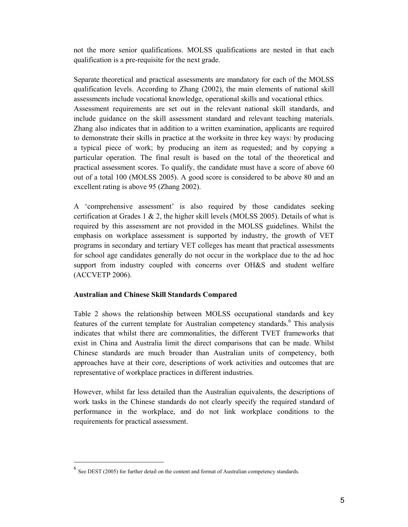not the more senior qualifications. MOLSS qualifications are nested in that each qualification is a pre-requisite for the next grade.

Separate theoretical and practical assessments are mandatory for each of the MOLSS qualification levels. According to Zhang (2002), the main elements of national skill assessments include vocational knowledge, operational skills and vocational ethics. Assessment requirements are set out in the relevant national skill standards, and include guidance on the skill assessment standard and relevant teaching materials. Zhang also indicates that in addition to a written examination, applicants are required to demonstrate their skills in practice at the worksite in three key ways: by producing a typical piece of work; by producing an item as requested; and by copying a particular operation. The final result is based on the total of the theoretical and practical assessment scores. To qualify, the candidate must have a score of above 60 out of a total 100 (MOLSS 2005). A good score is considered to be above 80 and an excellent rating is above 95 (Zhang 2002).

A 'comprehensive assessment' is also required by those candidates seeking certification at Grades 1  $\&$  2, the higher skill levels (MOLSS 2005). Details of what is required by this assessment are not provided in the MOLSS guidelines. Whilst the emphasis on workplace assessment is supported by industry, the growth of VET programs in secondary and tertiary VET colleges has meant that practical assessments for school age candidates generally do not occur in the workplace due to the ad hoc support from industry coupled with concerns over OH&S and student welfare (ACCVETP 2006).

### **Australian and Chinese Skill Standards Compared**

Table 2 shows the relationship between MOLSS occupational standards and key features of the current template for Australian competency standards.<sup>6</sup> This analysis indicates that whilst there are commonalities, the different TVET frameworks that exist in China and Australia limit the direct comparisons that can be made. Whilst Chinese standards are much broader than Australian units of competency, both approaches have at their core, descriptions of work activities and outcomes that are representative of workplace practices in different industries.

However, whilst far less detailed than the Australian equivalents, the descriptions of work tasks in the Chinese standards do not clearly specify the required standard of performance in the workplace, and do not link workplace conditions to the requirements for practical assessment.

 $\overline{a}$ 

 $<sup>6</sup>$  See DEST (2005) for further detail on the content and format of Australian competency standards.</sup>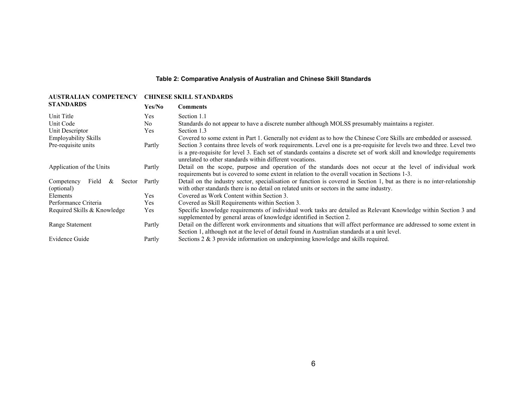### **Table 2: Comparative Analysis of Australian and Chinese Skill Standards**

| <b>AUSTRALIAN COMPETENCY</b>                     | <b>CHINESE SKILL STANDARDS</b> |                                                                                                                                                                                                                                                                                                              |
|--------------------------------------------------|--------------------------------|--------------------------------------------------------------------------------------------------------------------------------------------------------------------------------------------------------------------------------------------------------------------------------------------------------------|
| <b>STANDARDS</b>                                 | Yes/No                         | <b>Comments</b>                                                                                                                                                                                                                                                                                              |
| Unit Title                                       | Yes                            | Section 1.1                                                                                                                                                                                                                                                                                                  |
| Unit Code                                        | No.                            | Standards do not appear to have a discrete number although MOLSS presumably maintains a register.                                                                                                                                                                                                            |
| Unit Descriptor                                  | Yes                            | Section 1.3                                                                                                                                                                                                                                                                                                  |
| <b>Employability Skills</b>                      |                                | Covered to some extent in Part 1. Generally not evident as to how the Chinese Core Skills are embedded or assessed.                                                                                                                                                                                          |
| Pre-requisite units                              | Partly                         | Section 3 contains three levels of work requirements. Level one is a pre-requisite for levels two and three. Level two<br>is a pre-requisite for level 3. Each set of standards contains a discrete set of work skill and knowledge requirements<br>unrelated to other standards within different vocations. |
| Application of the Units                         | Partly                         | Detail on the scope, purpose and operation of the standards does not occur at the level of individual work<br>requirements but is covered to some extent in relation to the overall vocation in Sections 1-3.                                                                                                |
| Competency<br>Field<br>Sector<br>&<br>(optional) | Partly                         | Detail on the industry sector, specialisation or function is covered in Section 1, but as there is no inter-relationship<br>with other standards there is no detail on related units or sectors in the same industry.                                                                                        |
| Elements                                         | Yes.                           | Covered as Work Content within Section 3.                                                                                                                                                                                                                                                                    |
| Performance Criteria                             | Yes.                           | Covered as Skill Requirements within Section 3.                                                                                                                                                                                                                                                              |
| Required Skills & Knowledge                      | Yes                            | Specific knowledge requirements of individual work tasks are detailed as Relevant Knowledge within Section 3 and<br>supplemented by general areas of knowledge identified in Section 2.                                                                                                                      |
| Range Statement                                  | Partly                         | Detail on the different work environments and situations that will affect performance are addressed to some extent in<br>Section 1, although not at the level of detail found in Australian standards at a unit level.                                                                                       |
| Evidence Guide                                   | Partly                         | Sections $2 \& 3$ provide information on underpinning knowledge and skills required.                                                                                                                                                                                                                         |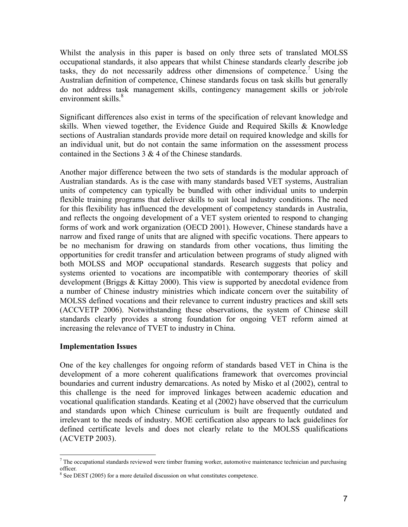Whilst the analysis in this paper is based on only three sets of translated MOLSS occupational standards, it also appears that whilst Chinese standards clearly describe job tasks, they do not necessarily address other dimensions of competence.<sup>7</sup> Using the Australian definition of competence, Chinese standards focus on task skills but generally do not address task management skills, contingency management skills or job/role environment skills.<sup>8</sup>

Significant differences also exist in terms of the specification of relevant knowledge and skills. When viewed together, the Evidence Guide and Required Skills & Knowledge sections of Australian standards provide more detail on required knowledge and skills for an individual unit, but do not contain the same information on the assessment process contained in the Sections 3 & 4 of the Chinese standards.

Another major difference between the two sets of standards is the modular approach of Australian standards. As is the case with many standards based VET systems, Australian units of competency can typically be bundled with other individual units to underpin flexible training programs that deliver skills to suit local industry conditions. The need for this flexibility has influenced the development of competency standards in Australia, and reflects the ongoing development of a VET system oriented to respond to changing forms of work and work organization (OECD 2001). However, Chinese standards have a narrow and fixed range of units that are aligned with specific vocations. There appears to be no mechanism for drawing on standards from other vocations, thus limiting the opportunities for credit transfer and articulation between programs of study aligned with both MOLSS and MOP occupational standards. Research suggests that policy and systems oriented to vocations are incompatible with contemporary theories of skill development (Briggs & Kittay 2000). This view is supported by anecdotal evidence from a number of Chinese industry ministries which indicate concern over the suitability of MOLSS defined vocations and their relevance to current industry practices and skill sets (ACCVETP 2006). Notwithstanding these observations, the system of Chinese skill standards clearly provides a strong foundation for ongoing VET reform aimed at increasing the relevance of TVET to industry in China.

### **Implementation Issues**

One of the key challenges for ongoing reform of standards based VET in China is the development of a more coherent qualifications framework that overcomes provincial boundaries and current industry demarcations. As noted by Misko et al (2002), central to this challenge is the need for improved linkages between academic education and vocational qualification standards. Keating et al (2002) have observed that the curriculum and standards upon which Chinese curriculum is built are frequently outdated and irrelevant to the needs of industry. MOE certification also appears to lack guidelines for defined certificate levels and does not clearly relate to the MOLSS qualifications (ACVETP 2003).

<sup>&</sup>lt;sup>7</sup> The occupational standards reviewed were timber framing worker, automotive maintenance technician and purchasing officer.

<sup>&</sup>lt;sup>8</sup> See DEST (2005) for a more detailed discussion on what constitutes competence.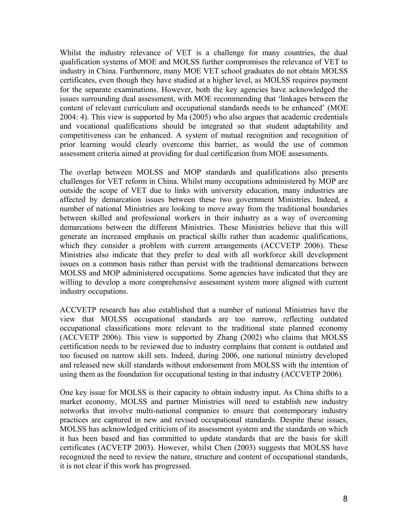Whilst the industry relevance of VET is a challenge for many countries, the dual qualification systems of MOE and MOLSS further compromises the relevance of VET to industry in China. Furthermore, many MOE VET school graduates do not obtain MOLSS certificates, even though they have studied at a higher level, as MOLSS requires payment for the separate examinations. However, both the key agencies have acknowledged the issues surrounding dual assessment, with MOE recommending that 'linkages between the content of relevant curriculum and occupational standards needs to be enhanced' (MOE 2004: 4). This view is supported by Ma (2005) who also argues that academic credentials and vocational qualifications should be integrated so that student adaptability and competitiveness can be enhanced. A system of mutual recognition and recognition of prior learning would clearly overcome this barrier, as would the use of common assessment criteria aimed at providing for dual certification from MOE assessments.

The overlap between MOLSS and MOP standards and qualifications also presents challenges for VET reform in China. Whilst many occupations administered by MOP are outside the scope of VET due to links with university education, many industries are affected by demarcation issues between these two government Ministries. Indeed, a number of national Ministries are looking to move away from the traditional boundaries between skilled and professional workers in their industry as a way of overcoming demarcations between the different Ministries. These Ministries believe that this will generate an increased emphasis on practical skills rather than academic qualifications, which they consider a problem with current arrangements (ACCVETP 2006). These Ministries also indicate that they prefer to deal with all workforce skill development issues on a common basis rather than persist with the traditional demarcations between MOLSS and MOP administered occupations. Some agencies have indicated that they are willing to develop a more comprehensive assessment system more aligned with current industry occupations.

ACCVETP research has also established that a number of national Ministries have the view that MOLSS occupational standards are too narrow, reflecting outdated occupational classifications more relevant to the traditional state planned economy (ACCVETP 2006). This view is supported by Zhang (2002) who claims that MOLSS certification needs to be reviewed due to industry complains that content is outdated and too focused on narrow skill sets. Indeed, during 2006, one national ministry developed and released new skill standards without endorsement from MOLSS with the intention of using them as the foundation for occupational testing in that industry (ACCVETP 2006).

One key issue for MOLSS is their capacity to obtain industry input. As China shifts to a market economy, MOLSS and partner Ministries will need to establish new industry networks that involve multi-national companies to ensure that contemporary industry practices are captured in new and revised occupational standards. Despite these issues, MOLSS has acknowledged criticism of its assessment system and the standards on which it has been based and has committed to update standards that are the basis for skill certificates (ACVETP 2003). However, whilst Chen (2003) suggests that MOLSS have recognized the need to review the nature, structure and content of occupational standards, it is not clear if this work has progressed.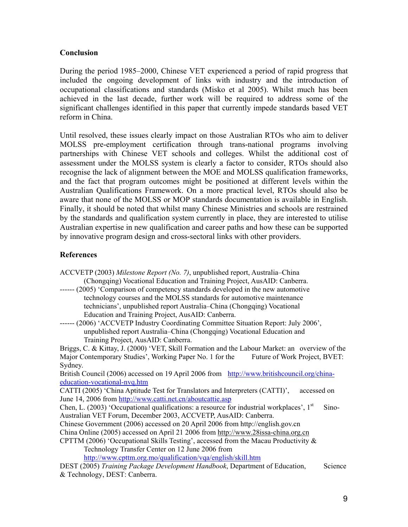## **Conclusion**

During the period 1985–2000, Chinese VET experienced a period of rapid progress that included the ongoing development of links with industry and the introduction of occupational classifications and standards (Misko et al 2005). Whilst much has been achieved in the last decade, further work will be required to address some of the significant challenges identified in this paper that currently impede standards based VET reform in China.

Until resolved, these issues clearly impact on those Australian RTOs who aim to deliver MOLSS pre-employment certification through trans-national programs involving partnerships with Chinese VET schools and colleges. Whilst the additional cost of assessment under the MOLSS system is clearly a factor to consider, RTOs should also recognise the lack of alignment between the MOE and MOLSS qualification frameworks, and the fact that program outcomes might be positioned at different levels within the Australian Qualifications Framework. On a more practical level, RTOs should also be aware that none of the MOLSS or MOP standards documentation is available in English. Finally, it should be noted that whilst many Chinese Ministries and schools are restrained by the standards and qualification system currently in place, they are interested to utilise Australian expertise in new qualification and career paths and how these can be supported by innovative program design and cross-sectoral links with other providers.

# **References**

- ACCVETP (2003) *Milestone Report (No. 7)*, unpublished report, Australia–China (Chongqing) Vocational Education and Training Project, AusAID: Canberra.
- ------ (2005) 'Comparison of competency standards developed in the new automotive technology courses and the MOLSS standards for automotive maintenance technicians', unpublished report Australia–China (Chongqing) Vocational Education and Training Project, AusAID: Canberra.
- ------ (2006) 'ACCVETP Industry Coordinating Committee Situation Report: July 2006', unpublished report Australia–China (Chongqing) Vocational Education and Training Project, AusAID: Canberra.

Briggs, C. & Kittay, J. (2000) 'VET, Skill Formation and the Labour Market: an overview of the Major Contemporary Studies', Working Paper No. 1 for the Future of Work Project, BVET: Sydney.

British Council (2006) accessed on 19 April 2006 from http://www.britishcouncil.org/chinaeducation-vocational-nvq.htm

CATTI (2005) 'China Aptitude Test for Translators and Interpreters (CATTI)', accessed on June 14, 2006 from http://www.catti.net.cn/aboutcattie.asp

Chen, L. (2003) 'Occupational qualifications: a resource for industrial workplaces',  $1<sup>st</sup>$  Sino-Australian VET Forum, December 2003, ACCVETP, AusAID: Canberra.

Chinese Government (2006) accessed on 20 April 2006 from http://english.gov.cn

China Online (2005) accessed on April 21 2006 from http://www.28issa-china.org.cn

CPTTM (2006) 'Occupational Skills Testing', accessed from the Macau Productivity  $\&$ Technology Transfer Center on 12 June 2006 from

http://www.cpttm.org.mo/qualification/vqa/english/skill.htm

DEST (2005) *Training Package Development Handbook*, Department of Education, Science & Technology, DEST: Canberra.